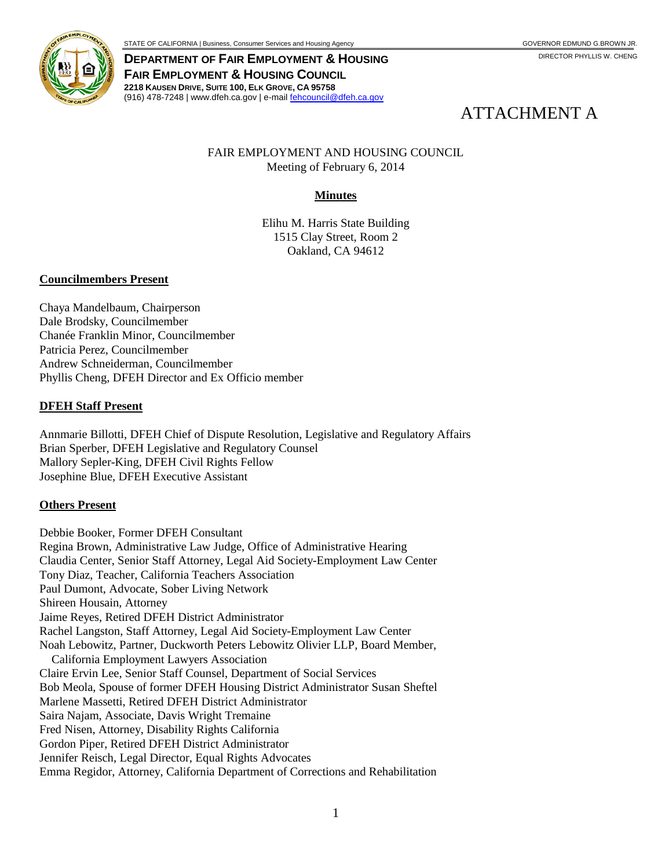

**DEPARTMENT OF FAIR EMPLOYMENT & HOUSING FAIR EMPLOYMENT & HOUSING COUNCIL 2218 KAUSEN DRIVE, SUITE 100, ELK GROVE, CA 95758** (916) 478-7248 | www.dfeh.ca.gov | e-mai[l fehcouncil@dfeh.ca.gov](mailto:fehcouncil@dfeh.ca.gov)

# ATTACHMENT A

## FAIR EMPLOYMENT AND HOUSING COUNCIL Meeting of February 6, 2014

## **Minutes**

Elihu M. Harris State Building 1515 Clay Street, Room 2 Oakland, CA 94612

#### **Councilmembers Present**

Chaya Mandelbaum, Chairperson Dale Brodsky, Councilmember Chanée Franklin Minor, Councilmember Patricia Perez, Councilmember Andrew Schneiderman, Councilmember Phyllis Cheng, DFEH Director and Ex Officio member

#### **DFEH Staff Present**

Annmarie Billotti, DFEH Chief of Dispute Resolution, Legislative and Regulatory Affairs Brian Sperber, DFEH Legislative and Regulatory Counsel Mallory Sepler-King, DFEH Civil Rights Fellow Josephine Blue, DFEH Executive Assistant

#### **Others Present**

Debbie Booker, Former DFEH Consultant Regina Brown, Administrative Law Judge, Office of Administrative Hearing Claudia Center, Senior Staff Attorney, Legal Aid Society-Employment Law Center Tony Diaz, Teacher, California Teachers Association Paul Dumont, Advocate, Sober Living Network Shireen Housain, Attorney Jaime Reyes, Retired DFEH District Administrator Rachel Langston, Staff Attorney, Legal Aid Society-Employment Law Center Noah Lebowitz, Partner, Duckworth Peters Lebowitz Olivier LLP, Board Member, California Employment Lawyers Association Claire Ervin Lee, Senior Staff Counsel, Department of Social Services Bob Meola, Spouse of former DFEH Housing District Administrator Susan Sheftel Marlene Massetti, Retired DFEH District Administrator Saira Najam, Associate, Davis Wright Tremaine Fred Nisen, Attorney, Disability Rights California Gordon Piper, Retired DFEH District Administrator Jennifer Reisch, Legal Director, Equal Rights Advocates Emma Regidor, Attorney, California Department of Corrections and Rehabilitation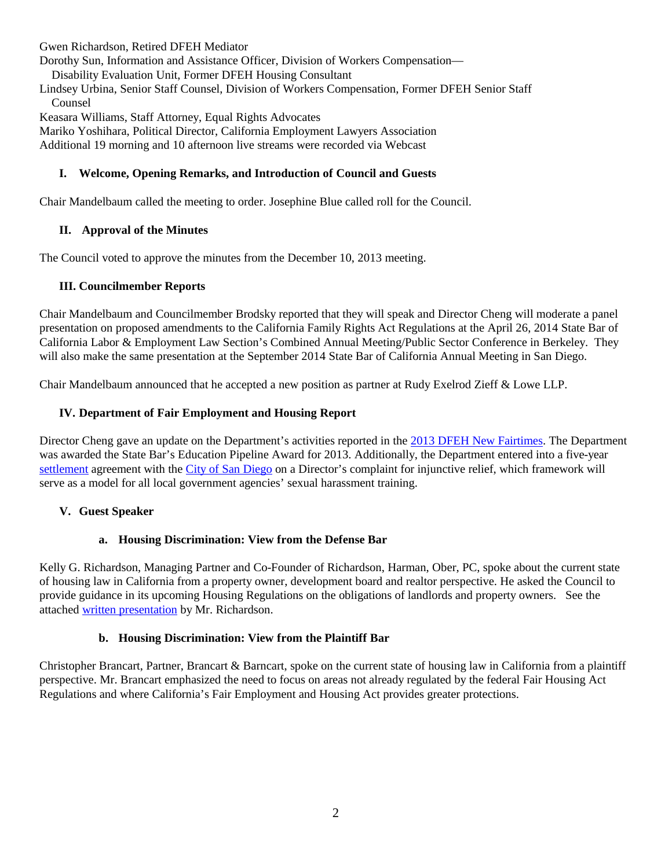Gwen Richardson, Retired DFEH Mediator

Dorothy Sun, Information and Assistance Officer, Division of Workers Compensation— Disability Evaluation Unit, Former DFEH Housing Consultant

Lindsey Urbina, Senior Staff Counsel, Division of Workers Compensation, Former DFEH Senior Staff Counsel

Keasara Williams, Staff Attorney, Equal Rights Advocates

Mariko Yoshihara, Political Director, California Employment Lawyers Association Additional 19 morning and 10 afternoon live streams were recorded via Webcast

## **I. Welcome, Opening Remarks, and Introduction of Council and Guests**

Chair Mandelbaum called the meeting to order. Josephine Blue called roll for the Council.

## **II. Approval of the Minutes**

The Council voted to approve the minutes from the December 10, 2013 meeting.

## **III. Councilmember Reports**

Chair Mandelbaum and Councilmember Brodsky reported that they will speak and Director Cheng will moderate a panel presentation on proposed amendments to the California Family Rights Act Regulations at the April 26, 2014 State Bar of California Labor & Employment Law Section's Combined Annual Meeting/Public Sector Conference in Berkeley. They will also make the same presentation at the September 2014 State Bar of California Annual Meeting in San Diego.

Chair Mandelbaum announced that he accepted a new position as partner at Rudy Exelrod Zieff & Lowe LLP.

## **IV. Department of Fair Employment and Housing Report**

Director Cheng gave an update on the Department's activities reported in the [2013 DFEH New Fairtimes.](http://www.dfeh.ca.gov/res/docs/Announcements/New%20Fairtimes/new%20fairtimes%202013%20final%20rev%203.pdf) The Department was awarded the State Bar's Education Pipeline Award for 2013. Additionally, the Department entered into a five-year [settlement](http://www.dfeh.ca.gov/res/docs/Announcements/PressReleases/Settlmt%20Agrmt%20-%20fully%20executed.12-17-13.pdf) agreement with the [City of San Diego](http://www.dfeh.ca.gov/res/docs/Announcements/PressReleases/City%20of%20San%20Diego%20release%20with%20link.pdf) on a Director's complaint for injunctive relief, which framework will serve as a model for all local government agencies' sexual harassment training.

#### **V. Guest Speaker**

#### **a. Housing Discrimination: View from the Defense Bar**

Kelly G. Richardson, Managing Partner and Co-Founder of Richardson, Harman, Ober, PC, spoke about the current state of housing law in California from a property owner, development board and realtor perspective. He asked the Council to provide guidance in its upcoming Housing Regulations on the obligations of landlords and property owners. See the attached [written presentation](https://cms.portal.ca.gov/dfeh/res/docs/Council/2-6-14%20Meeting/DFEH%20presentation%202-6-14.pdf) by Mr. Richardson.

#### **b. Housing Discrimination: View from the Plaintiff Bar**

Christopher Brancart, Partner, Brancart & Barncart, spoke on the current state of housing law in California from a plaintiff perspective. Mr. Brancart emphasized the need to focus on areas not already regulated by the federal Fair Housing Act Regulations and where California's Fair Employment and Housing Act provides greater protections.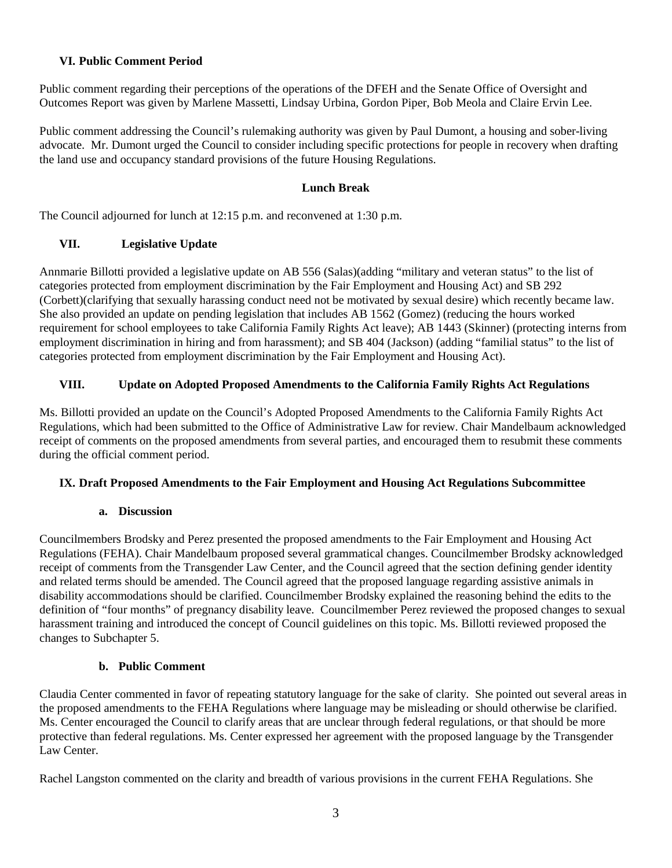## **VI. Public Comment Period**

Public comment regarding their perceptions of the operations of the DFEH and the Senate Office of Oversight and Outcomes Report was given by Marlene Massetti, Lindsay Urbina, Gordon Piper, Bob Meola and Claire Ervin Lee.

Public comment addressing the Council's rulemaking authority was given by Paul Dumont, a housing and sober-living advocate. Mr. Dumont urged the Council to consider including specific protections for people in recovery when drafting the land use and occupancy standard provisions of the future Housing Regulations.

#### **Lunch Break**

The Council adjourned for lunch at 12:15 p.m. and reconvened at 1:30 p.m.

## **VII. Legislative Update**

Annmarie Billotti provided a legislative update on AB 556 (Salas)(adding "military and veteran status" to the list of categories protected from employment discrimination by the Fair Employment and Housing Act) and SB 292 (Corbett)(clarifying that sexually harassing conduct need not be motivated by sexual desire) which recently became law. She also provided an update on pending legislation that includes AB 1562 (Gomez) (reducing the hours worked requirement for school employees to take California Family Rights Act leave); AB 1443 (Skinner) (protecting interns from employment discrimination in hiring and from harassment); and SB 404 (Jackson) (adding "familial status" to the list of categories protected from employment discrimination by the Fair Employment and Housing Act).

#### **VIII. Update on Adopted Proposed Amendments to the California Family Rights Act Regulations**

Ms. Billotti provided an update on the Council's Adopted Proposed Amendments to the California Family Rights Act Regulations, which had been submitted to the Office of Administrative Law for review. Chair Mandelbaum acknowledged receipt of comments on the proposed amendments from several parties, and encouraged them to resubmit these comments during the official comment period.

#### **IX. Draft Proposed Amendments to the Fair Employment and Housing Act Regulations Subcommittee**

#### **a. Discussion**

Councilmembers Brodsky and Perez presented the proposed amendments to the Fair Employment and Housing Act Regulations (FEHA). Chair Mandelbaum proposed several grammatical changes. Councilmember Brodsky acknowledged receipt of comments from the Transgender Law Center, and the Council agreed that the section defining gender identity and related terms should be amended. The Council agreed that the proposed language regarding assistive animals in disability accommodations should be clarified. Councilmember Brodsky explained the reasoning behind the edits to the definition of "four months" of pregnancy disability leave. Councilmember Perez reviewed the proposed changes to sexual harassment training and introduced the concept of Council guidelines on this topic. Ms. Billotti reviewed proposed the changes to Subchapter 5.

#### **b. Public Comment**

Claudia Center commented in favor of repeating statutory language for the sake of clarity. She pointed out several areas in the proposed amendments to the FEHA Regulations where language may be misleading or should otherwise be clarified. Ms. Center encouraged the Council to clarify areas that are unclear through federal regulations, or that should be more protective than federal regulations. Ms. Center expressed her agreement with the proposed language by the Transgender Law Center.

Rachel Langston commented on the clarity and breadth of various provisions in the current FEHA Regulations. She